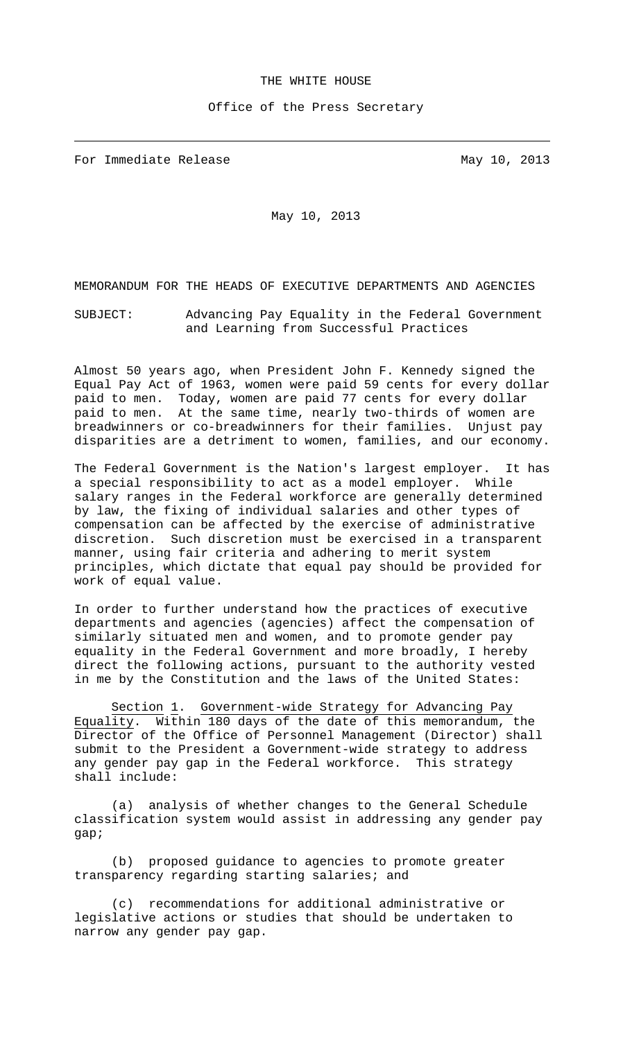## THE WHITE HOUSE

## Office of the Press Secretary

For Immediate Release May 10, 2013

j.

May 10, 2013

MEMORANDUM FOR THE HEADS OF EXECUTIVE DEPARTMENTS AND AGENCIES

SUBJECT: Advancing Pay Equality in the Federal Government and Learning from Successful Practices

Almost 50 years ago, when President John F. Kennedy signed the Equal Pay Act of 1963, women were paid 59 cents for every dollar paid to men. Today, women are paid 77 cents for every dollar paid to men. At the same time, nearly two-thirds of women are breadwinners or co-breadwinners for their families. Unjust pay disparities are a detriment to women, families, and our economy.

The Federal Government is the Nation's largest employer. It has a special responsibility to act as a model employer. While salary ranges in the Federal workforce are generally determined by law, the fixing of individual salaries and other types of compensation can be affected by the exercise of administrative discretion. Such discretion must be exercised in a transparent manner, using fair criteria and adhering to merit system principles, which dictate that equal pay should be provided for work of equal value.

In order to further understand how the practices of executive departments and agencies (agencies) affect the compensation of similarly situated men and women, and to promote gender pay equality in the Federal Government and more broadly, I hereby direct the following actions, pursuant to the authority vested in me by the Constitution and the laws of the United States:

Section 1. Government-wide Strategy for Advancing Pay Equality. Within 180 days of the date of this memorandum, the Director of the Office of Personnel Management (Director) shall submit to the President a Government-wide strategy to address any gender pay gap in the Federal workforce. This strategy shall include:

(a) analysis of whether changes to the General Schedule classification system would assist in addressing any gender pay gap;

(b) proposed guidance to agencies to promote greater transparency regarding starting salaries; and

(c) recommendations for additional administrative or legislative actions or studies that should be undertaken to narrow any gender pay gap.